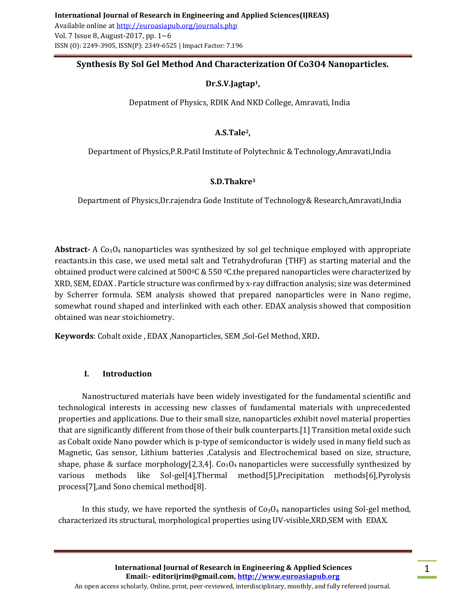# **Synthesis By Sol Gel Method And Characterization Of Co3O4 Nanoparticles.**

# **Dr.S.V.Jagtap1,**

Depatment of Physics, RDIK And NKD College, Amravati, India

# **A.S.Tale2,**

Department of Physics,P.R.Patil Institute of Polytechnic & Technology,Amravati,India

### **S.D.Thakre<sup>3</sup>**

Department of Physics,Dr.rajendra Gode Institute of Technology& Research,Amravati,India

**Abstract-** A Co<sub>3</sub>O<sub>4</sub> nanoparticles was synthesized by sol gel technique employed with appropriate reactants.in this case, we used metal salt and Tetrahydrofuran (THF) as starting material and the obtained product were calcined at  $500^{\circ}$ C &  $550^{\circ}$ C.the prepared nanoparticles were characterized by XRD, SEM, EDAX . Particle structure was confirmed by x-ray diffraction analysis; size was determined by Scherrer formula. SEM analysis showed that prepared nanoparticles were in Nano regime, somewhat round shaped and interlinked with each other. EDAX analysis showed that composition obtained was near stoichiometry.

**Keywords**: Cobalt oxide , EDAX ,Nanoparticles, SEM ,Sol-Gel Method, XRD**.**

### **I. Introduction**

Nanostructured materials have been widely investigated for the fundamental scientific and technological interests in accessing new classes of fundamental materials with unprecedented properties and applications. Due to their small size, nanoparticles exhibit novel material properties that are significantly different from those of their bulk counterparts.[1] Transition metal oxide such as Cobalt oxide Nano powder which is p-type of semiconductor is widely used in many field such as Magnetic, Gas sensor, Lithium batteries ,Catalysis and Electrochemical based on size, structure, shape, phase & surface morphology[2,3,4].  $Co<sub>3</sub>O<sub>4</sub>$  nanoparticles were successfully synthesized by various methods like Sol-gel[4],Thermal method[5],Precipitation methods[6],Pyrolysis process[7],and Sono chemical method[8].

In this study, we have reported the synthesis of  $Co<sub>3</sub>O<sub>4</sub>$  nanoparticles using Sol-gel method, characterized its structural, morphological properties using UV-visible,XRD,SEM with EDAX.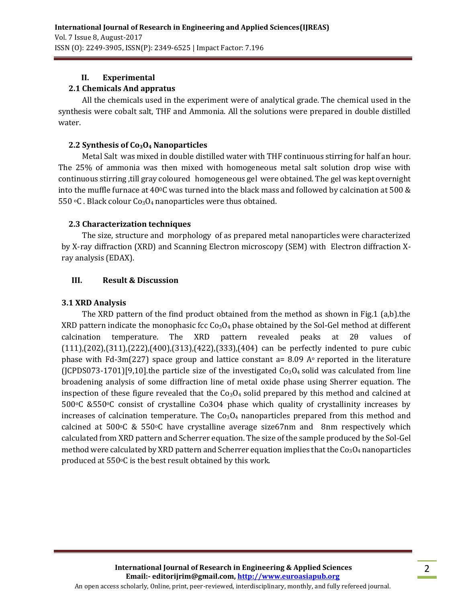### **II. Experimental**

### **2.1 Chemicals And appratus**

All the chemicals used in the experiment were of analytical grade. The chemical used in the synthesis were cobalt salt, THF and Ammonia. All the solutions were prepared in double distilled water.

### **2.2 Synthesis of Co3O<sup>4</sup> Nanoparticles**

Metal Salt was mixed in double distilled water with THF continuous stirring for half an hour. The 25% of ammonia was then mixed with homogeneous metal salt solution drop wise with continuous stirring ,till gray coloured homogeneous gel were obtained. The gel was kept overnight into the muffle furnace at 400C was turned into the black mass and followed by calcination at 500 & 550  $\degree$ C. Black colour Co<sub>3</sub>O<sub>4</sub> nanoparticles were thus obtained.

### **2.3 Characterization techniques**

The size, structure and morphology of as prepared metal nanoparticles were characterized by X-ray diffraction (XRD) and Scanning Electron microscopy (SEM) with Electron diffraction Xray analysis (EDAX).

### **III. Result & Discussion**

### **3.1 XRD Analysis**

The XRD pattern of the find product obtained from the method as shown in Fig.1 (a,b).the XRD pattern indicate the monophasic fcc  $Co<sub>3</sub>O<sub>4</sub>$  phase obtained by the Sol-Gel method at different calcination temperature. The XRD pattern revealed peaks at 2θ values of (111),(202),(311),(222),(400),(313),(422),(333),(404) can be perfectly indented to pure cubic phase with Fd-3m(227) space group and lattice constant a= 8.09 A $\circ$  reported in the literature (JCPDS073-1701)[9,10].the particle size of the investigated  $Co<sub>3</sub>O<sub>4</sub>$  solid was calculated from line broadening analysis of some diffraction line of metal oxide phase using Sherrer equation. The inspection of these figure revealed that the  $Co<sub>3</sub>O<sub>4</sub>$  solid prepared by this method and calcined at  $500\degree$ C &550 $\degree$ C consist of crystalline Co3O4 phase which quality of crystallinity increases by increases of calcination temperature. The  $Co<sub>3</sub>O<sub>4</sub>$  nanoparticles prepared from this method and calcined at  $500\textdegree C$  &  $550\textdegree C$  have crystalline average size67nm and 8nm respectively which calculated from XRD pattern and Scherrer equation. The size of the sample produced by the Sol-Gel method were calculated by XRD pattern and Scherrer equation implies that the  $Co<sub>3</sub>O<sub>4</sub>$  nanoparticles produced at 550oC is the best result obtained by this work.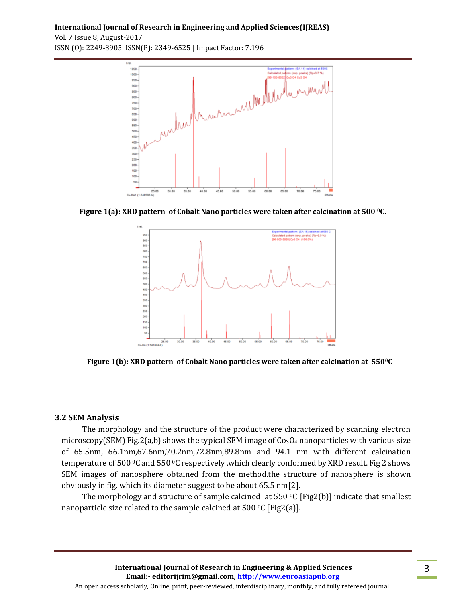**International Journal of Research in Engineering and Applied Sciences(IJREAS)**

Vol. 7 Issue 8, August-2017 ISSN (O): 2249-3905, ISSN(P): 2349-6525 | Impact Factor: 7.196



**Figure 1(a): XRD pattern of Cobalt Nano particles were taken after calcination at 500 0C.**



**Figure 1(b): XRD pattern of Cobalt Nano particles were taken after calcination at 5500C**

### **3.2 SEM Analysis**

The morphology and the structure of the product were characterized by scanning electron microscopy(SEM) Fig.2(a,b) shows the typical SEM image of  $Co<sub>3</sub>O<sub>4</sub>$  nanoparticles with various size of 65.5nm, 66.1nm,67.6nm,70.2nm,72.8nm,89.8nm and 94.1 nm with different calcination temperature of 500 0C and 550 0C respectively ,which clearly conformed by XRD result. Fig 2 shows SEM images of nanosphere obtained from the method.the structure of nanosphere is shown obviously in fig. which its diameter suggest to be about 65.5 nm[2].

The morphology and structure of sample calcined at 550  $\degree$ C [Fig2(b)] indicate that smallest nanoparticle size related to the sample calcined at 500  $^{\circ}$ C [Fig2(a)].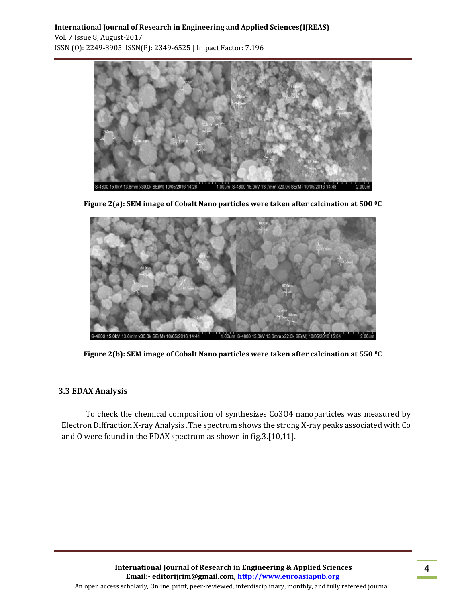### **International Journal of Research in Engineering and Applied Sciences(IJREAS)** Vol. 7 Issue 8, August-2017 ISSN (O): 2249-3905, ISSN(P): 2349-6525 | Impact Factor: 7.196





**Figure 2(a): SEM image of Cobalt Nano particles were taken after calcination at 500 0C**

**Figure 2(b): SEM image of Cobalt Nano particles were taken after calcination at 550 0C**

### **3.3 EDAX Analysis**

To check the chemical composition of synthesizes Co3O4 nanoparticles was measured by Electron Diffraction X-ray Analysis .The spectrum shows the strong X-ray peaks associated with Co and O were found in the EDAX spectrum as shown in fig.3.[10,11].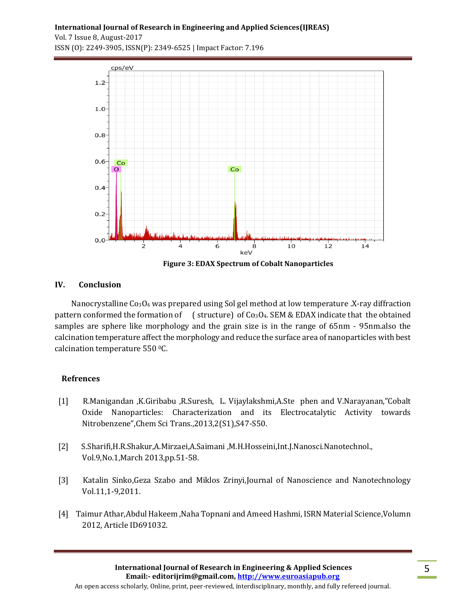**International Journal of Research in Engineering and Applied Sciences(IJREAS)**

Vol. 7 Issue 8, August-2017 ISSN (O): 2249-3905, ISSN(P): 2349-6525 | Impact Factor: 7.196



**Figure 3: EDAX Spectrum of Cobalt Nanoparticles**

### **IV. Conclusion**

Nanocrystalline Co<sub>3</sub>O<sub>4</sub> was prepared using Sol gel method at low temperature .X-ray diffraction pattern conformed the formation of (structure) of  $Co<sub>3</sub>O<sub>4</sub>$ . SEM & EDAX indicate that the obtained samples are sphere like morphology and the grain size is in the range of 65nm - 95nm.also the calcination temperature affect the morphology and reduce the surface area of nanoparticles with best calcination temperature 550 0C.

### **Refrences**

- [1] R.Manigandan ,K.Giribabu ,R.Suresh, L. Vijaylakshmi,A.Ste phen and V.Narayanan,"Cobalt Oxide Nanoparticles: Characterization and its Electrocatalytic Activity towards Nitrobenzene",Chem Sci Trans.,2013,2(S1),S47-S50.
- [2] S.Sharifi,H.R.Shakur,A.Mirzaei,A.Saimani ,M.H.Hosseini,Int.J.Nanosci.Nanotechnol., Vol.9,No.1,March 2013,pp.51-58.
- [3] Katalin Sinko,Geza Szabo and Miklos Zrinyi,Journal of Nanoscience and Nanotechnology Vol.11,1-9,2011.
- [4] Taimur Athar,Abdul Hakeem ,Naha Topnani and Ameed Hashmi, ISRN Material Science,Volumn 2012, Article ID691032.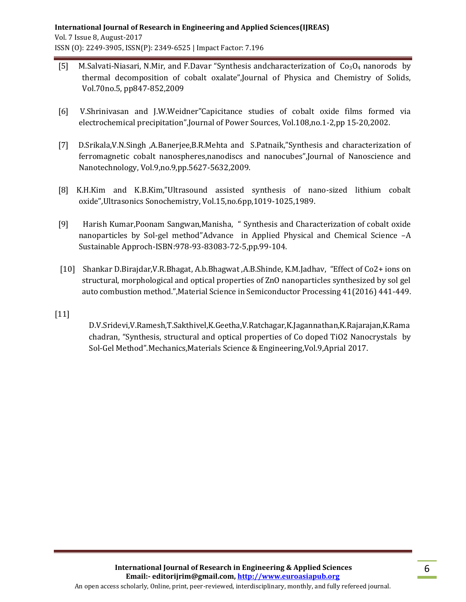- [5] M.Salvati-Niasari, N.Mir, and F.Davar "Synthesis andcharacterization of  $Co<sub>3</sub>O<sub>4</sub>$  nanorods by thermal decomposition of cobalt oxalate",Journal of Physica and Chemistry of Solids, Vol.70no.5, pp847-852,2009
- [6] V.Shrinivasan and J.W.Weidner"Capicitance studies of cobalt oxide films formed via electrochemical precipitation",Journal of Power Sources, Vol.108,no.1-2,pp 15-20,2002.
- [7] D.Srikala,V.N.Singh ,A.Banerjee,B.R.Mehta and S.Patnaik,"Synthesis and characterization of ferromagnetic cobalt nanospheres,nanodiscs and nanocubes",Journal of Nanoscience and Nanotechnology, Vol.9,no.9,pp.5627-5632,2009.
- [8] K.H.Kim and K.B.Kim,"Ultrasound assisted synthesis of nano-sized lithium cobalt oxide",Ultrasonics Sonochemistry, Vol.15,no.6pp,1019-1025,1989.
- [9] Harish Kumar,Poonam Sangwan,Manisha, " Synthesis and Characterization of cobalt oxide nanoparticles by Sol-gel method"Advance in Applied Physical and Chemical Science –A Sustainable Approch-ISBN:978-93-83083-72-5,pp.99-104.
- [10] Shankar D.Birajdar,V.R.Bhagat, A.b.Bhagwat ,A.B.Shinde, K.M.Jadhav, "Effect of Co2+ ions on structural, morphological and optical properties of ZnO nanoparticles synthesized by sol gel auto combustion method.",Material Science in Semiconductor Processing 41(2016) 441-449.
- [11]

D.V.Sridevi,V.Ramesh,T.Sakthivel,K.Geetha,V.Ratchagar,K.Jagannathan,K.Rajarajan,K.Rama chadran, "Synthesis, structural and optical properties of Co doped TiO2 Nanocrystals by Sol-Gel Method".Mechanics,Materials Science & Engineering,Vol.9,Aprial 2017.